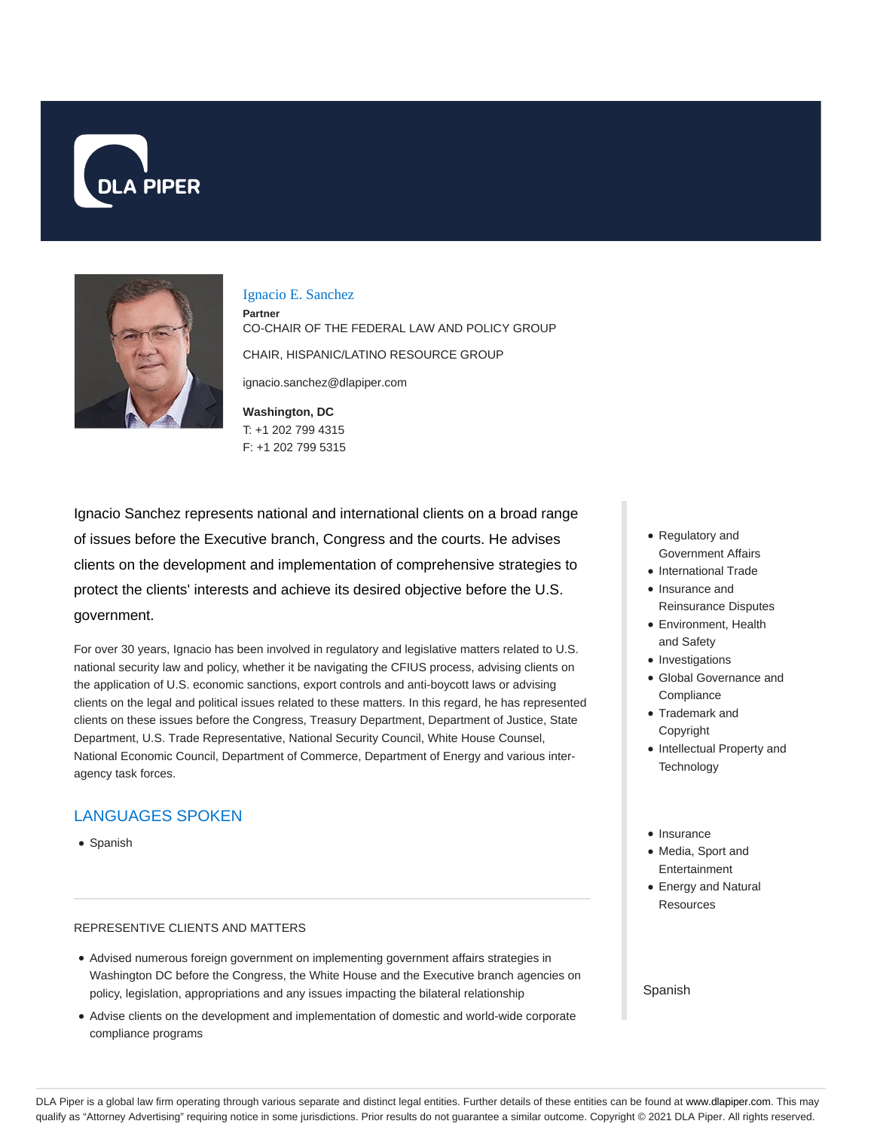



Ignacio E. Sanchez

**Partner** CO-CHAIR OF THE FEDERAL LAW AND POLICY GROUP CHAIR, HISPANIC/LATINO RESOURCE GROUP

ignacio.sanchez@dlapiper.com

**Washington, DC** T: +1 202 799 4315 F: +1 202 799 5315

Ignacio Sanchez represents national and international clients on a broad range of issues before the Executive branch, Congress and the courts. He advises clients on the development and implementation of comprehensive strategies to protect the clients' interests and achieve its desired objective before the U.S. government.

For over 30 years, Ignacio has been involved in regulatory and legislative matters related to U.S. national security law and policy, whether it be navigating the CFIUS process, advising clients on the application of U.S. economic sanctions, export controls and anti-boycott laws or advising clients on the legal and political issues related to these matters. In this regard, he has represented clients on these issues before the Congress, Treasury Department, Department of Justice, State Department, U.S. Trade Representative, National Security Council, White House Counsel, National Economic Council, Department of Commerce, Department of Energy and various interagency task forces.

# LANGUAGES SPOKEN

• Spanish

#### REPRESENTIVE CLIENTS AND MATTERS

- Advised numerous foreign government on implementing government affairs strategies in Washington DC before the Congress, the White House and the Executive branch agencies on policy, legislation, appropriations and any issues impacting the bilateral relationship
- Advise clients on the development and implementation of domestic and world-wide corporate compliance programs
- Regulatory and Government Affairs
- International Trade
- Insurance and Reinsurance Disputes
- Environment, Health and Safety
- Investigations
- Global Governance and **Compliance**
- Trademark and Copyright
- Intellectual Property and **Technology**
- Insurance
- Media, Sport and Entertainment
- Energy and Natural **Resources**

Spanish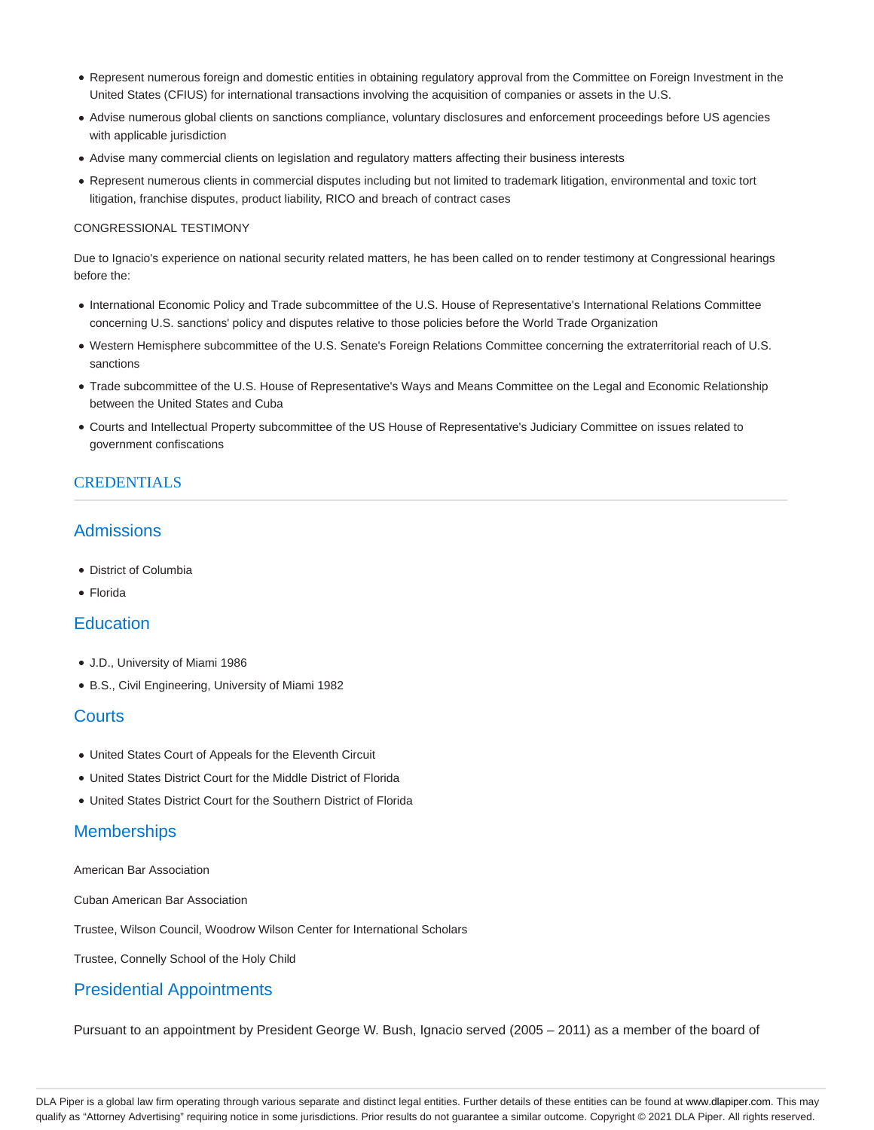- Represent numerous foreign and domestic entities in obtaining regulatory approval from the Committee on Foreign Investment in the United States (CFIUS) for international transactions involving the acquisition of companies or assets in the U.S.
- Advise numerous global clients on sanctions compliance, voluntary disclosures and enforcement proceedings before US agencies with applicable jurisdiction
- Advise many commercial clients on legislation and regulatory matters affecting their business interests
- Represent numerous clients in commercial disputes including but not limited to trademark litigation, environmental and toxic tort litigation, franchise disputes, product liability, RICO and breach of contract cases

#### CONGRESSIONAL TESTIMONY

Due to Ignacio's experience on national security related matters, he has been called on to render testimony at Congressional hearings before the:

- International Economic Policy and Trade subcommittee of the U.S. House of Representative's International Relations Committee concerning U.S. sanctions' policy and disputes relative to those policies before the World Trade Organization
- Western Hemisphere subcommittee of the U.S. Senate's Foreign Relations Committee concerning the extraterritorial reach of U.S. sanctions
- Trade subcommittee of the U.S. House of Representative's Ways and Means Committee on the Legal and Economic Relationship between the United States and Cuba
- Courts and Intellectual Property subcommittee of the US House of Representative's Judiciary Committee on issues related to government confiscations

### CREDENTIALS

# Admissions

- District of Columbia
- Florida

# **Education**

- J.D., University of Miami 1986
- B.S., Civil Engineering, University of Miami 1982

### **Courts**

- United States Court of Appeals for the Eleventh Circuit
- United States District Court for the Middle District of Florida
- United States District Court for the Southern District of Florida

### **Memberships**

American Bar Association

Cuban American Bar Association

Trustee, Wilson Council, Woodrow Wilson Center for International Scholars

Trustee, Connelly School of the Holy Child

### Presidential Appointments

Pursuant to an appointment by President George W. Bush, Ignacio served (2005 – 2011) as a member of the board of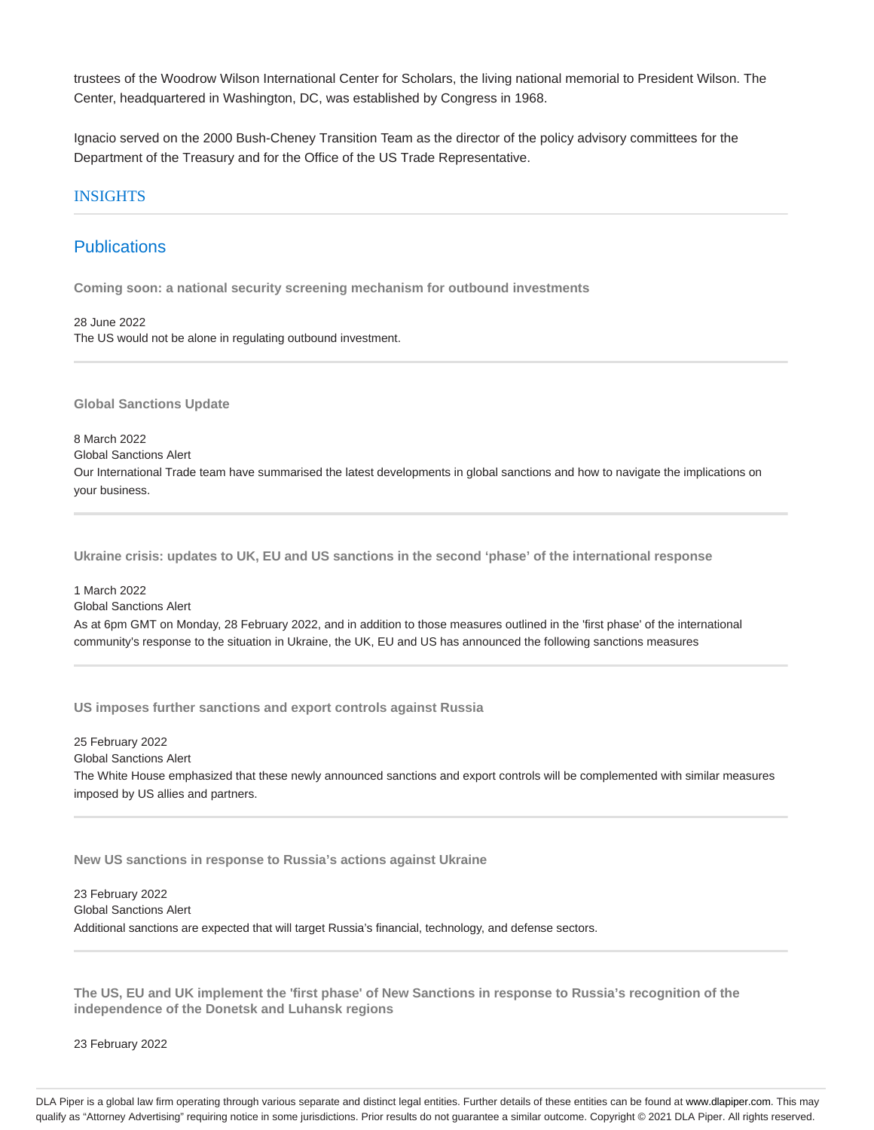trustees of the Woodrow Wilson International Center for Scholars, the living national memorial to President Wilson. The Center, headquartered in Washington, DC, was established by Congress in 1968.

Ignacio served on the 2000 Bush-Cheney Transition Team as the director of the policy advisory committees for the Department of the Treasury and for the Office of the US Trade Representative.

#### INSIGHTS

### **Publications**

**Coming soon: a national security screening mechanism for outbound investments**

28 June 2022 The US would not be alone in regulating outbound investment.

**Global Sanctions Update**

8 March 2022 Global Sanctions Alert

Our International Trade team have summarised the latest developments in global sanctions and how to navigate the implications on your business.

**Ukraine crisis: updates to UK, EU and US sanctions in the second 'phase' of the international response**

1 March 2022 Global Sanctions Alert As at 6pm GMT on Monday, 28 February 2022, and in addition to those measures outlined in the 'first phase' of the international community's response to the situation in Ukraine, the UK, EU and US has announced the following sanctions measures

**US imposes further sanctions and export controls against Russia**

25 February 2022 Global Sanctions Alert The White House emphasized that these newly announced sanctions and export controls will be complemented with similar measures imposed by US allies and partners.

**New US sanctions in response to Russia's actions against Ukraine**

23 February 2022 Global Sanctions Alert Additional sanctions are expected that will target Russia's financial, technology, and defense sectors.

**The US, EU and UK implement the 'first phase' of New Sanctions in response to Russia's recognition of the independence of the Donetsk and Luhansk regions**

23 February 2022

DLA Piper is a global law firm operating through various separate and distinct legal entities. Further details of these entities can be found at www.dlapiper.com. This may qualify as "Attorney Advertising" requiring notice in some jurisdictions. Prior results do not guarantee a similar outcome. Copyright @ 2021 DLA Piper. All rights reserved.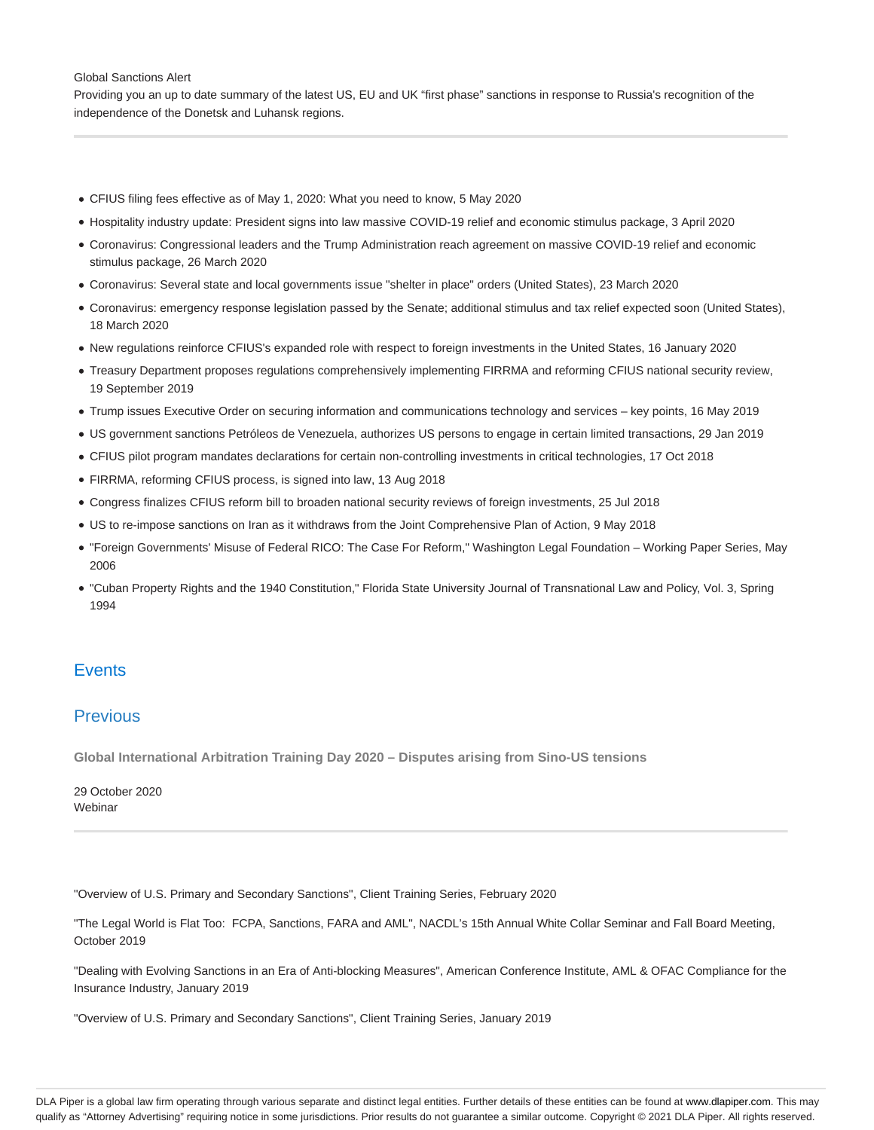#### Global Sanctions Alert

Providing you an up to date summary of the latest US, EU and UK "first phase" sanctions in response to Russia's recognition of the independence of the Donetsk and Luhansk regions.

- CFIUS filing fees effective as of May 1, 2020: What you need to know, 5 May 2020
- Hospitality industry update: President signs into law massive COVID-19 relief and economic stimulus package, 3 April 2020
- Coronavirus: Congressional leaders and the Trump Administration reach agreement on massive COVID-19 relief and economic stimulus package, 26 March 2020
- Coronavirus: Several state and local governments issue "shelter in place" orders (United States), 23 March 2020
- Coronavirus: emergency response legislation passed by the Senate; additional stimulus and tax relief expected soon (United States), 18 March 2020
- New regulations reinforce CFIUS's expanded role with respect to foreign investments in the United States, 16 January 2020
- Treasury Department proposes regulations comprehensively implementing FIRRMA and reforming CFIUS national security review, 19 September 2019
- Trump issues Executive Order on securing information and communications technology and services key points, 16 May 2019
- US government sanctions Petróleos de Venezuela, authorizes US persons to engage in certain limited transactions, 29 Jan 2019
- CFIUS pilot program mandates declarations for certain non-controlling investments in critical technologies, 17 Oct 2018
- FIRRMA, reforming CFIUS process, is signed into law, 13 Aug 2018
- Congress finalizes CFIUS reform bill to broaden national security reviews of foreign investments, 25 Jul 2018
- US to re-impose sanctions on Iran as it withdraws from the Joint Comprehensive Plan of Action, 9 May 2018
- "Foreign Governments' Misuse of Federal RICO: The Case For Reform," Washington Legal Foundation Working Paper Series, May 2006
- "Cuban Property Rights and the 1940 Constitution," Florida State University Journal of Transnational Law and Policy, Vol. 3, Spring 1994

# **Events**

# **Previous**

**Global International Arbitration Training Day 2020 – Disputes arising from Sino-US tensions**

29 October 2020 Webinar

"Overview of U.S. Primary and Secondary Sanctions", Client Training Series, February 2020

"The Legal World is Flat Too: FCPA, Sanctions, FARA and AML", NACDL's 15th Annual White Collar Seminar and Fall Board Meeting, October 2019

"Dealing with Evolving Sanctions in an Era of Anti-blocking Measures", American Conference Institute, AML & OFAC Compliance for the Insurance Industry, January 2019

"Overview of U.S. Primary and Secondary Sanctions", Client Training Series, January 2019